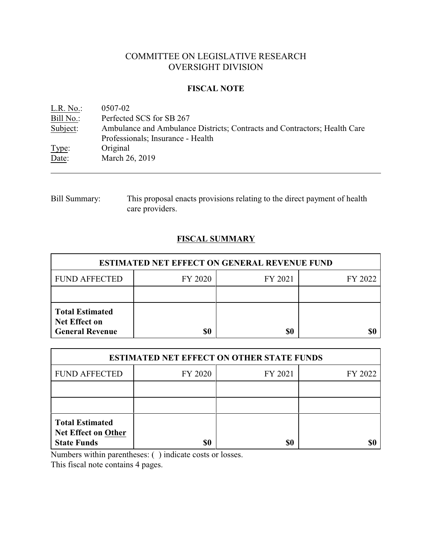# COMMITTEE ON LEGISLATIVE RESEARCH OVERSIGHT DIVISION

### **FISCAL NOTE**

| L.R. No.: | 0507-02                                                                   |
|-----------|---------------------------------------------------------------------------|
| Bill No.: | Perfected SCS for SB 267                                                  |
| Subject:  | Ambulance and Ambulance Districts; Contracts and Contractors; Health Care |
|           | Professionals; Insurance - Health                                         |
| Type:     | Original                                                                  |
| Date:     | March 26, 2019                                                            |

Bill Summary: This proposal enacts provisions relating to the direct payment of health care providers.

## **FISCAL SUMMARY**

| <b>ESTIMATED NET EFFECT ON GENERAL REVENUE FUND</b>                      |         |         |         |  |
|--------------------------------------------------------------------------|---------|---------|---------|--|
| <b>FUND AFFECTED</b>                                                     | FY 2020 | FY 2021 | FY 2022 |  |
|                                                                          |         |         |         |  |
| <b>Total Estimated</b><br><b>Net Effect on</b><br><b>General Revenue</b> | \$0     | \$0     |         |  |

| <b>ESTIMATED NET EFFECT ON OTHER STATE FUNDS</b>                           |         |         |         |  |
|----------------------------------------------------------------------------|---------|---------|---------|--|
| <b>FUND AFFECTED</b>                                                       | FY 2020 | FY 2021 | FY 2022 |  |
|                                                                            |         |         |         |  |
|                                                                            |         |         |         |  |
| <b>Total Estimated</b><br><b>Net Effect on Other</b><br><b>State Funds</b> | \$0     | \$0     |         |  |

Numbers within parentheses: ( ) indicate costs or losses.

This fiscal note contains 4 pages.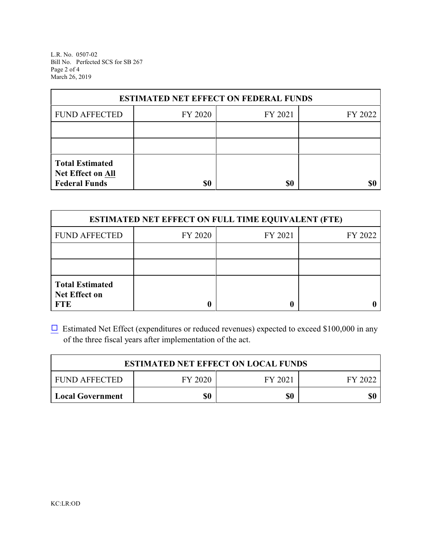L.R. No. 0507-02 Bill No. Perfected SCS for SB 267 Page 2 of 4 March 26, 2019

| <b>ESTIMATED NET EFFECT ON FEDERAL FUNDS</b> |         |         |         |  |
|----------------------------------------------|---------|---------|---------|--|
| <b>FUND AFFECTED</b>                         | FY 2020 | FY 2021 | FY 2022 |  |
|                                              |         |         |         |  |
|                                              |         |         |         |  |
| <b>Total Estimated</b><br>Net Effect on All  |         |         |         |  |
| <b>Federal Funds</b>                         | \$0     | \$0     | SI      |  |

| <b>ESTIMATED NET EFFECT ON FULL TIME EQUIVALENT (FTE)</b>    |         |         |         |  |
|--------------------------------------------------------------|---------|---------|---------|--|
| <b>FUND AFFECTED</b>                                         | FY 2020 | FY 2021 | FY 2022 |  |
|                                                              |         |         |         |  |
|                                                              |         |         |         |  |
| <b>Total Estimated</b><br><b>Net Effect on</b><br><b>FTE</b> |         |         |         |  |

 $\Box$  Estimated Net Effect (expenditures or reduced revenues) expected to exceed \$100,000 in any of the three fiscal years after implementation of the act.

| <b>ESTIMATED NET EFFECT ON LOCAL FUNDS</b> |         |         |         |
|--------------------------------------------|---------|---------|---------|
| <b>FUND AFFECTED</b>                       | FY 2020 | FY 2021 | FY 2022 |
| Local Government                           | \$0     | \$0     | \$0     |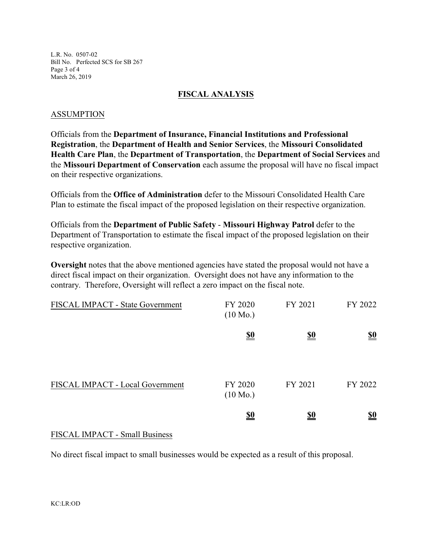L.R. No. 0507-02 Bill No. Perfected SCS for SB 267 Page 3 of 4 March 26, 2019

#### **FISCAL ANALYSIS**

#### ASSUMPTION

Officials from the **Department of Insurance, Financial Institutions and Professional Registration**, the **Department of Health and Senior Services**, the **Missouri Consolidated Health Care Plan**, the **Department of Transportation**, the **Department of Social Services** and the **Missouri Department of Conservation** each assume the proposal will have no fiscal impact on their respective organizations.

Officials from the **Office of Administration** defer to the Missouri Consolidated Health Care Plan to estimate the fiscal impact of the proposed legislation on their respective organization.

Officials from the **Department of Public Safety** - **Missouri Highway Patrol** defer to the Department of Transportation to estimate the fiscal impact of the proposed legislation on their respective organization.

**Oversight** notes that the above mentioned agencies have stated the proposal would not have a direct fiscal impact on their organization. Oversight does not have any information to the contrary. Therefore, Oversight will reflect a zero impact on the fiscal note.

| FISCAL IMPACT - State Government | FY 2020<br>$(10 \text{ Mo.})$ | FY 2021    | FY 2022                       |
|----------------------------------|-------------------------------|------------|-------------------------------|
|                                  | $\underline{\underline{\$0}}$ | <u>\$0</u> | $\underline{\underline{\$0}}$ |
| FISCAL IMPACT - Local Government | FY 2020<br>$(10 \text{ Mo.})$ | FY 2021    | FY 2022                       |
|                                  | <u>\$0</u>                    | <u>\$0</u> | <u>\$0</u>                    |

#### FISCAL IMPACT - Small Business

No direct fiscal impact to small businesses would be expected as a result of this proposal.